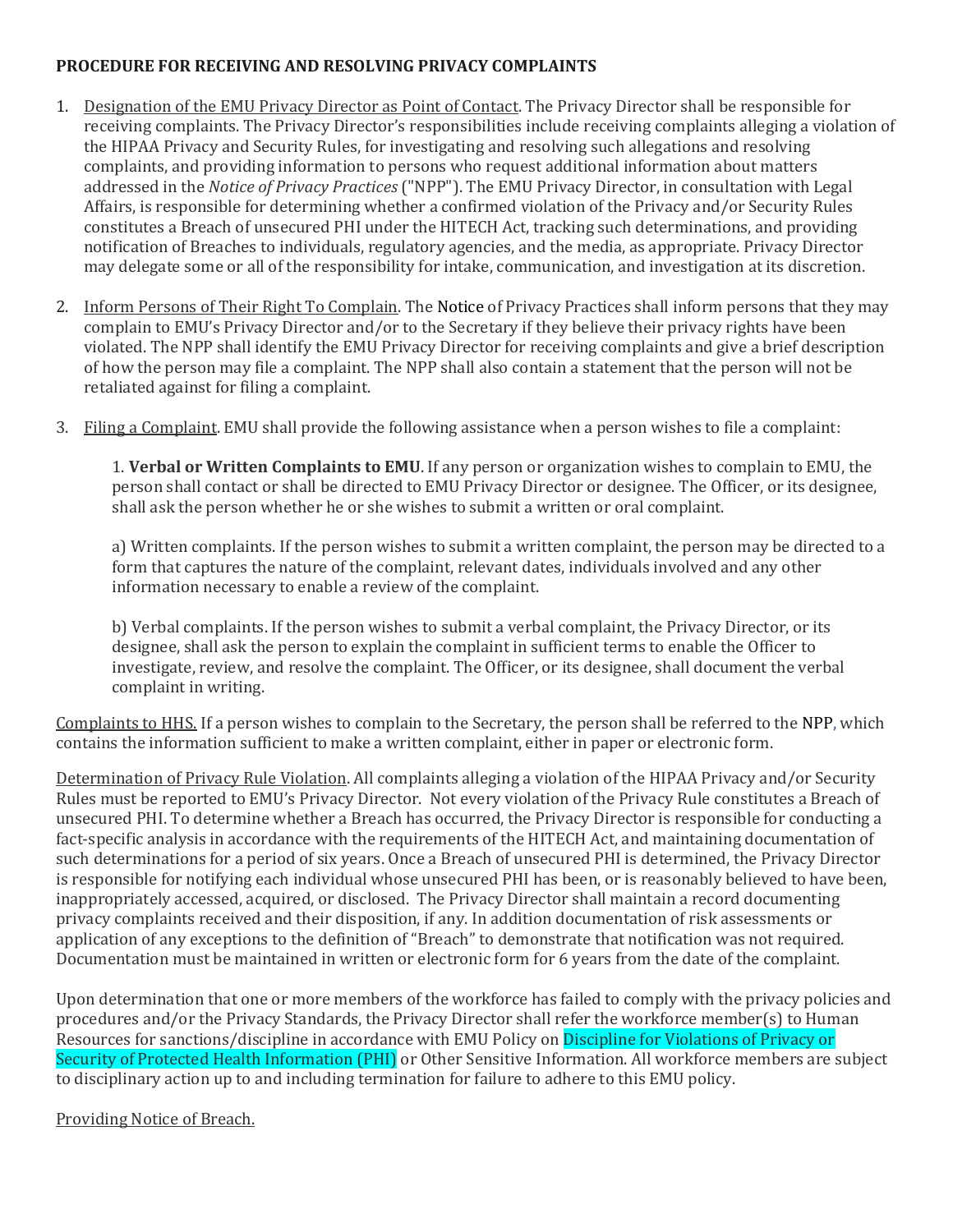## **PROCEDURE FOR RECEIVING AND RESOLVING PRIVACY COMPLAINTS**

- 1. Designation of the EMU Privacy Director as Point of Contact. The Privacy Director shall be responsible for receiving complaints. The Privacy Director's responsibilities include receiving complaints alleging a violation of the HIPAA Privacy and Security Rules, for investigating and resolving such allegations and resolving complaints, and providing information to persons who request additional information about matters addressed in the *Notice of Privacy Practices* ("NPP"). The EMU Privacy Director, in consultation with Legal Affairs, is responsible for determining whether a confirmed violation of the Privacy and/or Security Rules constitutes a Breach of unsecured PHI under the HITECH Act, tracking such determinations, and providing notification of Breaches to individuals, regulatory agencies, and the media, as appropriate. Privacy Director may delegate some or all of the responsibility for intake, communication, and investigation at its discretion.
- 2. Inform Persons of Their Right To Complain. The Notice of Privacy Practices shall inform persons that they may complain to EMU's Privacy Director and/or to the Secretary if they believe their privacy rights have been violated. The NPP shall identify the EMU Privacy Director for receiving complaints and give a brief description of how the person may file a complaint. The NPP shall also contain a statement that the person will not be retaliated against for filing a complaint.
- 3. Filing a Complaint. EMU shall provide the following assistance when a person wishes to file a complaint:

1. **Verbal or Written Complaints to EMU**. If any person or organization wishes to complain to EMU, the person shall contact or shall be directed to EMU Privacy Director or designee. The Officer, or its designee, shall ask the person whether he or she wishes to submit a written or oral complaint.

a) Written complaints. If the person wishes to submit a written complaint, the person may be directed to a form that captures the nature of the complaint, relevant dates, individuals involved and any other information necessary to enable a review of the complaint.

b) Verbal complaints. If the person wishes to submit a verbal complaint, the Privacy Director, or its designee, shall ask the person to explain the complaint in sufficient terms to enable the Officer to investigate, review, and resolve the complaint. The Officer, or its designee, shall document the verbal complaint in writing.

Complaints to HHS. If a person wishes to complain to the Secretary, the person shall be referred to the NPP, which contains the information sufficient to make a written complaint, either in paper or electronic form.

Determination of Privacy Rule Violation. All complaints alleging a violation of the HIPAA Privacy and/or Security Rules must be reported to EMU's Privacy Director. Not every violation of the Privacy Rule constitutes a Breach of unsecured PHI. To determine whether a Breach has occurred, the Privacy Director is responsible for conducting a fact-specific analysis in accordance with the requirements of the HITECH Act, and maintaining documentation of such determinations for a period of six years. Once a Breach of unsecured PHI is determined, the Privacy Director is responsible for notifying each individual whose unsecured PHI has been, or is reasonably believed to have been, inappropriately accessed, acquired, or disclosed. The Privacy Director shall maintain a record documenting privacy complaints received and their disposition, if any. In addition documentation of risk assessments or application of any exceptions to the definition of "Breach" to demonstrate that notification was not required. Documentation must be maintained in written or electronic form for 6 years from the date of the complaint.

Upon determination that one or more members of the workforce has failed to comply with the privacy policies and procedures and/or the Privacy Standards, the Privacy Director shall refer the workforce member(s) to Human Resources for sanctions/discipline in accordance with EMU Policy on Discipline for Violations of Privacy or Security of Protected Health Information (PHI) or Other Sensitive Information. All workforce members are subiect to disciplinary action up to and including termination for failure to adhere to this EMU policy.

## Providing Notice of Breach.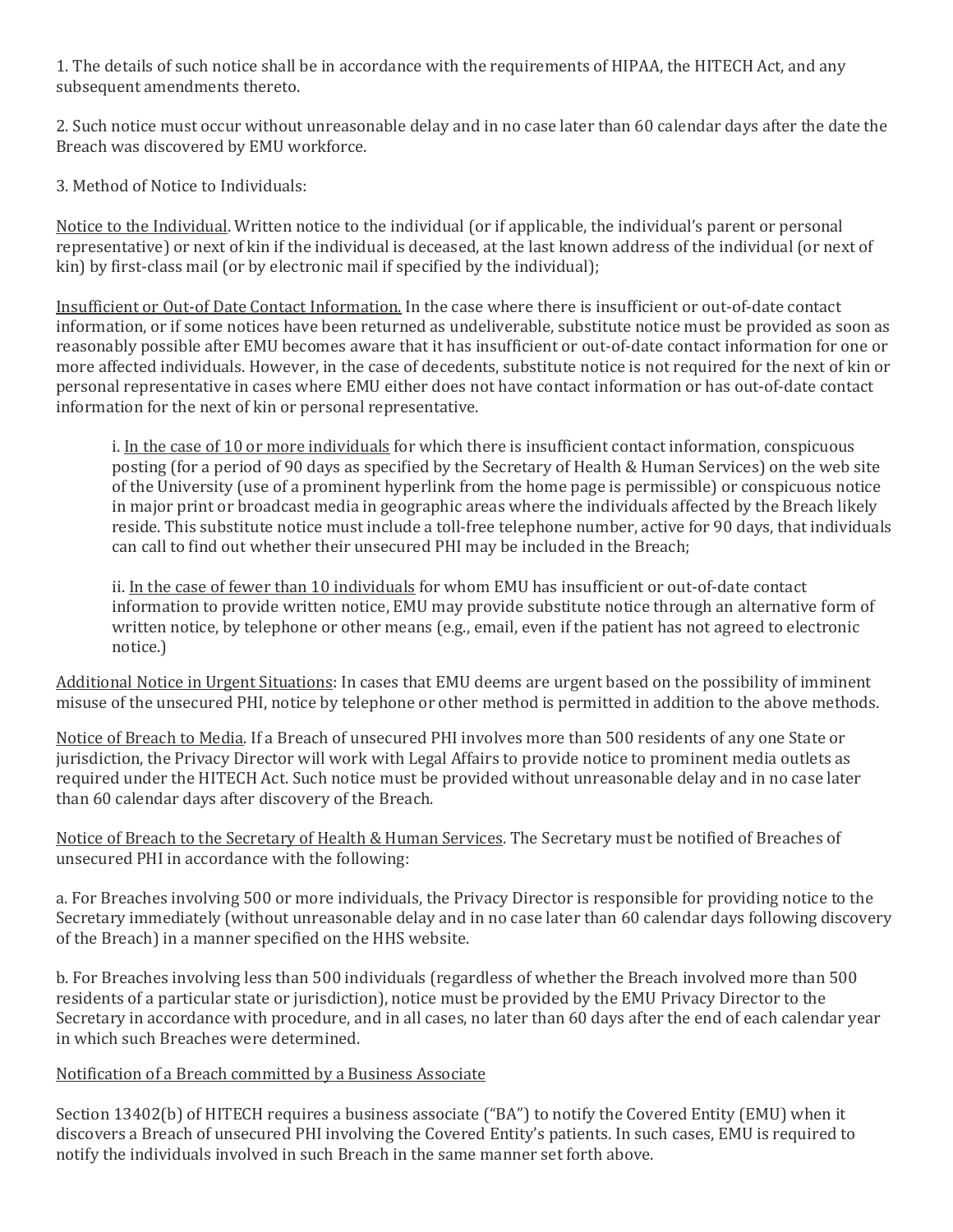1. The details of such notice shall be in accordance with the requirements of HIPAA, the HITECH Act, and any subsequent amendments thereto.

2. Such notice must occur without unreasonable delay and in no case later than 60 calendar days after the date the Breach was discovered by EMU workforce.

3. Method of Notice to Individuals:

Notice to the Individual. Written notice to the individual (or if applicable, the individual's parent or personal representative) or next of kin if the individual is deceased, at the last known address of the individual (or next of kin) by first-class mail (or by electronic mail if specified by the individual);

Insufficient or Out-of Date Contact Information. In the case where there is insufficient or out-of-date contact information, or if some notices have been returned as undeliverable, substitute notice must be provided as soon as reasonably possible after EMU becomes aware that it has insufficient or out-of-date contact information for one or more affected individuals. However, in the case of decedents, substitute notice is not required for the next of kin or personal representative in cases where EMU either does not have contact information or has out-of-date contact information for the next of kin or personal representative.

i. In the case of 10 or more individuals for which there is insufficient contact information, conspicuous posting (for a period of 90 days as specified by the Secretary of Health & Human Services) on the web site of the University (use of a prominent hyperlink from the home page is permissible) or conspicuous notice in major print or broadcast media in geographic areas where the individuals affected by the Breach likely reside. This substitute notice must include a toll-free telephone number, active for 90 days, that individuals can call to find out whether their unsecured PHI may be included in the Breach;

ii. In the case of fewer than 10 individuals for whom EMU has insufficient or out-of-date contact information to provide written notice, EMU may provide substitute notice through an alternative form of written notice, by telephone or other means (e.g., email, even if the patient has not agreed to electronic notice.)

Additional Notice in Urgent Situations: In cases that EMU deems are urgent based on the possibility of imminent misuse of the unsecured PHI, notice by telephone or other method is permitted in addition to the above methods.

Notice of Breach to Media. If a Breach of unsecured PHI involves more than 500 residents of any one State or jurisdiction, the Privacy Director will work with Legal Affairs to provide notice to prominent media outlets as required under the HITECH Act. Such notice must be provided without unreasonable delay and in no case later than 60 calendar days after discovery of the Breach.

Notice of Breach to the Secretary of Health & Human Services. The Secretary must be notified of Breaches of unsecured PHI in accordance with the following:

a. For Breaches involving 500 or more individuals, the Privacy Director is responsible for providing notice to the Secretary immediately (without unreasonable delay and in no case later than 60 calendar days following discovery of the Breach) in a manner specified on the HHS website.

b. For Breaches involving less than 500 individuals (regardless of whether the Breach involved more than 500 residents of a particular state or jurisdiction), notice must be provided by the EMU Privacy Director to the Secretary in accordance with procedure, and in all cases, no later than 60 days after the end of each calendar year in which such Breaches were determined.

Notification of a Breach committed by a Business Associate

Section 13402(b) of HITECH requires a business associate ("BA") to notify the Covered Entity (EMU) when it discovers a Breach of unsecured PHI involving the Covered Entity's patients. In such cases, EMU is required to notify the individuals involved in such Breach in the same manner set forth above.